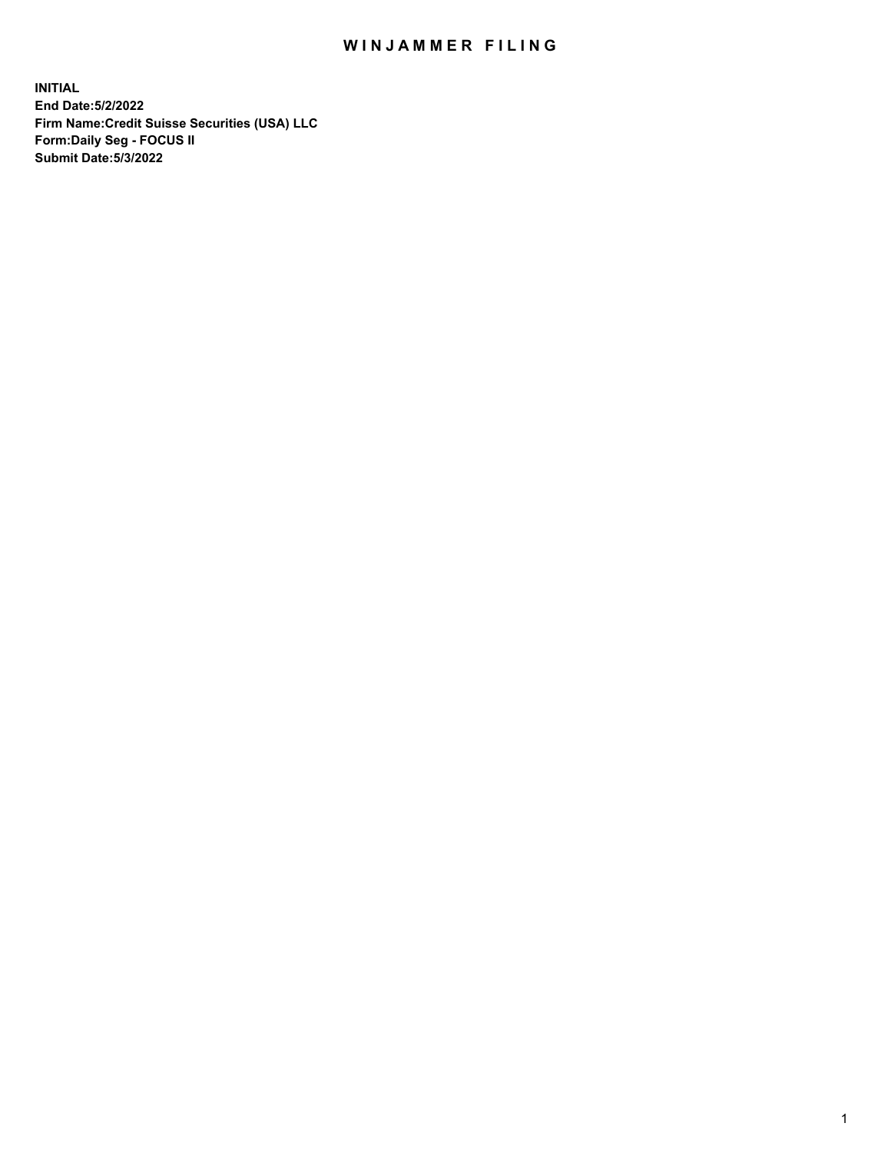### WIN JAMMER FILING

**INITIAL End Date:5/2/2022 Firm Name:Credit Suisse Securities (USA) LLC Form:Daily Seg - FOCUS II Submit Date:5/3/2022**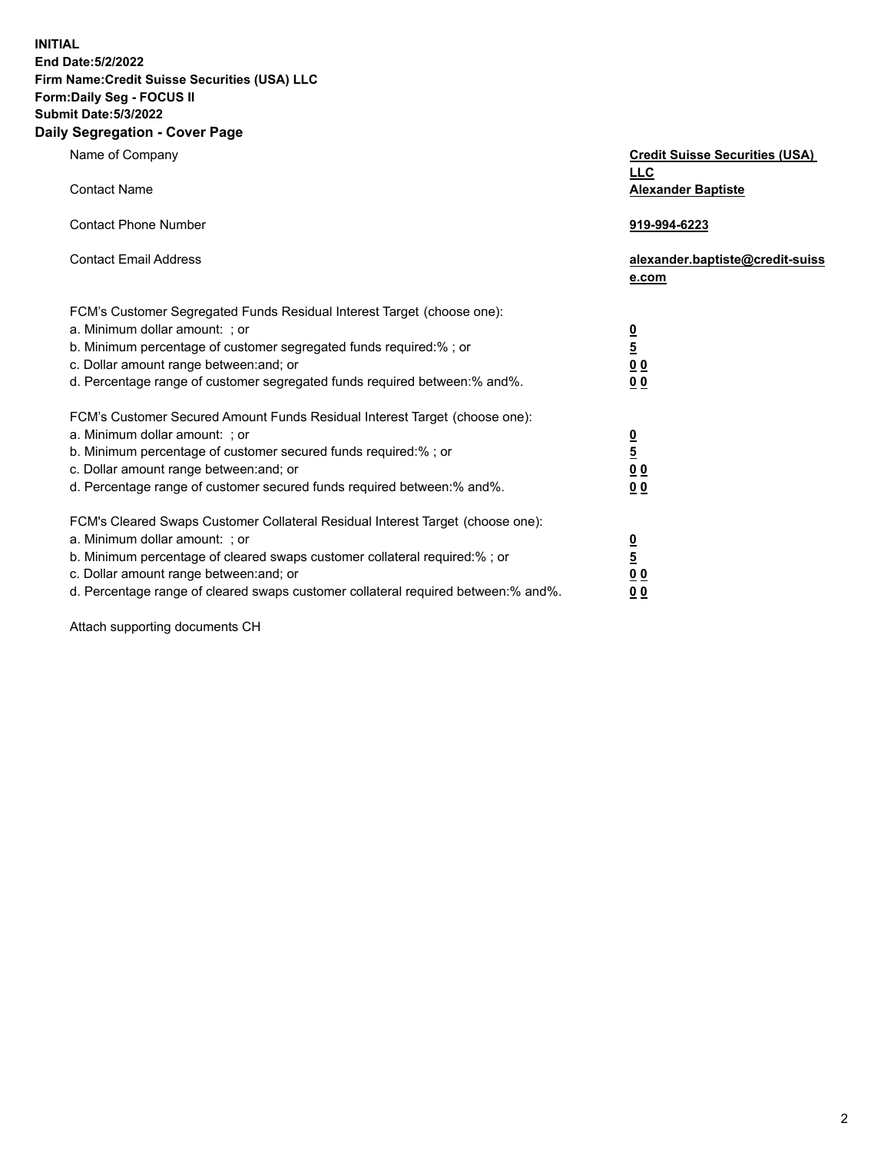**INITIAL**

**End Date:5/2/2022** 

# **Firm Name:Credit Suisse Securities (USA) LLC**

**Form:Daily Seg - FOCUS II** 

# **Submit Date:5/3/2022**

#### **Daily Segregation - Cover Page**

| Name of Company                                                                                                                                                                                                                                                                                                               | <b>Credit Suisse Securities (USA)</b><br><b>LLC</b>                |
|-------------------------------------------------------------------------------------------------------------------------------------------------------------------------------------------------------------------------------------------------------------------------------------------------------------------------------|--------------------------------------------------------------------|
| <b>Contact Name</b>                                                                                                                                                                                                                                                                                                           | <b>Alexander Baptiste</b>                                          |
| <b>Contact Phone Number</b>                                                                                                                                                                                                                                                                                                   | 919-994-6223                                                       |
| <b>Contact Email Address</b>                                                                                                                                                                                                                                                                                                  | alexander.baptiste@credit-suiss<br>e.com                           |
| FCM's Customer Segregated Funds Residual Interest Target (choose one):<br>a. Minimum dollar amount: ; or<br>b. Minimum percentage of customer segregated funds required:% ; or<br>c. Dollar amount range between: and; or<br>d. Percentage range of customer segregated funds required between:% and%.                        | $\frac{0}{5}$<br>0 <sub>0</sub><br>0 <sub>0</sub>                  |
| FCM's Customer Secured Amount Funds Residual Interest Target (choose one):<br>a. Minimum dollar amount: ; or<br>b. Minimum percentage of customer secured funds required:%; or<br>c. Dollar amount range between: and; or<br>d. Percentage range of customer secured funds required between:% and%.                           | $\frac{0}{5}$<br>0 <sub>0</sub><br>0 <sub>0</sub>                  |
| FCM's Cleared Swaps Customer Collateral Residual Interest Target (choose one):<br>a. Minimum dollar amount: ; or<br>b. Minimum percentage of cleared swaps customer collateral required:%; or<br>c. Dollar amount range between: and; or<br>d. Percentage range of cleared swaps customer collateral required between:% and%. | $\frac{0}{5}$<br>$\underline{0}$ $\underline{0}$<br>0 <sub>0</sub> |

Attach supporting documents CH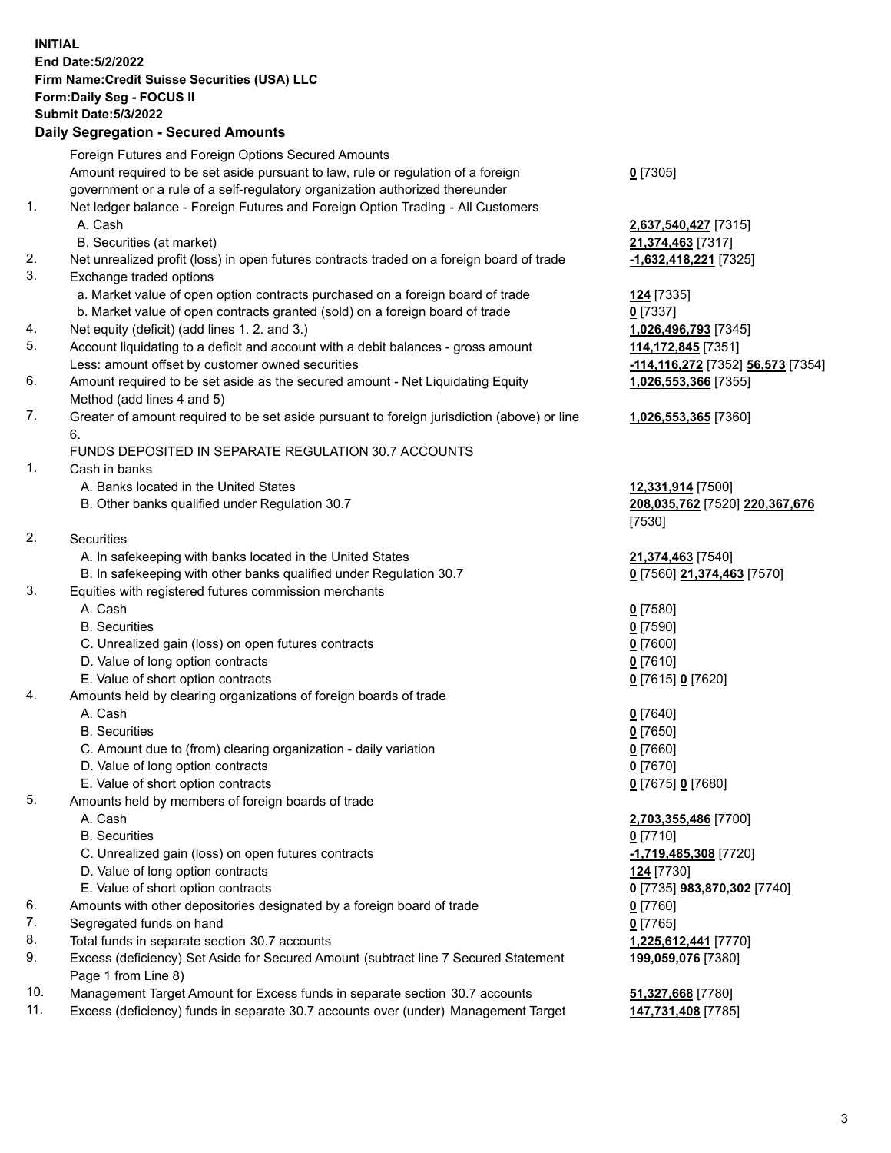**INITIAL End Date:5/2/2022 Firm Name:Credit Suisse Securities (USA) LLC Form:Daily Seg - FOCUS II Submit Date:5/3/2022**

#### **Daily Segregation - Secured Amounts**

|     | Foreign Futures and Foreign Options Secured Amounts                                         |                                   |
|-----|---------------------------------------------------------------------------------------------|-----------------------------------|
|     | Amount required to be set aside pursuant to law, rule or regulation of a foreign            | $0$ [7305]                        |
|     | government or a rule of a self-regulatory organization authorized thereunder                |                                   |
| 1.  | Net ledger balance - Foreign Futures and Foreign Option Trading - All Customers             |                                   |
|     | A. Cash                                                                                     | 2,637,540,427 [7315]              |
|     | B. Securities (at market)                                                                   | 21,374,463 [7317]                 |
| 2.  | Net unrealized profit (loss) in open futures contracts traded on a foreign board of trade   | -1,632,418,221 [7325]             |
| 3.  | Exchange traded options                                                                     |                                   |
|     | a. Market value of open option contracts purchased on a foreign board of trade              | 124 [7335]                        |
|     | b. Market value of open contracts granted (sold) on a foreign board of trade                | $0$ [7337]                        |
| 4.  | Net equity (deficit) (add lines 1. 2. and 3.)                                               | 1,026,496,793 [7345]              |
| 5.  | Account liquidating to a deficit and account with a debit balances - gross amount           | 114,172,845 [7351]                |
|     | Less: amount offset by customer owned securities                                            | -114,116,272 [7352] 56,573 [7354] |
| 6.  | Amount required to be set aside as the secured amount - Net Liquidating Equity              | 1,026,553,366 [7355]              |
|     | Method (add lines 4 and 5)                                                                  |                                   |
| 7.  | Greater of amount required to be set aside pursuant to foreign jurisdiction (above) or line | 1,026,553,365 [7360]              |
|     | 6.                                                                                          |                                   |
|     | FUNDS DEPOSITED IN SEPARATE REGULATION 30.7 ACCOUNTS                                        |                                   |
| 1.  | Cash in banks                                                                               |                                   |
|     | A. Banks located in the United States                                                       |                                   |
|     |                                                                                             | 12,331,914 [7500]                 |
|     | B. Other banks qualified under Regulation 30.7                                              | 208,035,762 [7520] 220,367,676    |
| 2.  |                                                                                             | [7530]                            |
|     | Securities                                                                                  |                                   |
|     | A. In safekeeping with banks located in the United States                                   | 21,374,463 [7540]                 |
|     | B. In safekeeping with other banks qualified under Regulation 30.7                          | 0 [7560] 21,374,463 [7570]        |
| 3.  | Equities with registered futures commission merchants                                       |                                   |
|     | A. Cash                                                                                     | $0$ [7580]                        |
|     | <b>B.</b> Securities                                                                        | $0$ [7590]                        |
|     | C. Unrealized gain (loss) on open futures contracts                                         | $0$ [7600]                        |
|     | D. Value of long option contracts                                                           | $0$ [7610]                        |
|     | E. Value of short option contracts                                                          | 0 [7615] 0 [7620]                 |
| 4.  | Amounts held by clearing organizations of foreign boards of trade                           |                                   |
|     | A. Cash                                                                                     | $0$ [7640]                        |
|     | <b>B.</b> Securities                                                                        | $0$ [7650]                        |
|     | C. Amount due to (from) clearing organization - daily variation                             | $0$ [7660]                        |
|     | D. Value of long option contracts                                                           | $0$ [7670]                        |
|     | E. Value of short option contracts                                                          | 0 [7675] 0 [7680]                 |
| 5.  | Amounts held by members of foreign boards of trade                                          |                                   |
|     | A. Cash                                                                                     | 2,703,355,486 [7700]              |
|     | <b>B.</b> Securities                                                                        | $0$ [7710]                        |
|     | C. Unrealized gain (loss) on open futures contracts                                         | $-1,719,485,308$ [7720]           |
|     | D. Value of long option contracts                                                           | 124 [7730]                        |
|     | E. Value of short option contracts                                                          | 0 [7735] 983,870,302 [7740]       |
| 6.  | Amounts with other depositories designated by a foreign board of trade                      | 0 [7760]                          |
| 7.  | Segregated funds on hand                                                                    | $0$ [7765]                        |
| 8.  | Total funds in separate section 30.7 accounts                                               | 1,225,612,441 [7770]              |
| 9.  | Excess (deficiency) Set Aside for Secured Amount (subtract line 7 Secured Statement         | 199,059,076 [7380]                |
|     | Page 1 from Line 8)                                                                         |                                   |
| 10. | Management Target Amount for Excess funds in separate section 30.7 accounts                 | 51,327,668 [7780]                 |

11. Excess (deficiency) funds in separate 30.7 accounts over (under) Management Target **147,731,408** [7785]

3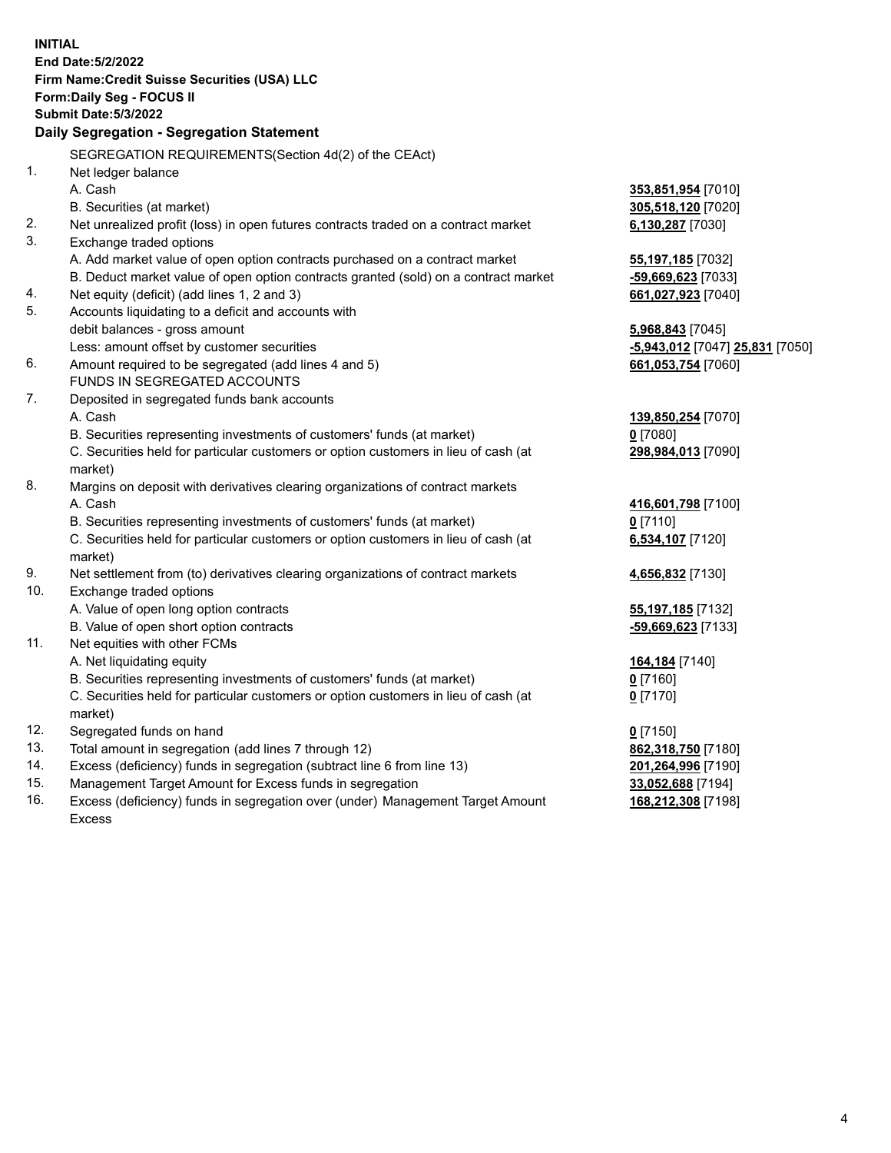|     | <b>INITIAL</b>                                                                                 |                                 |
|-----|------------------------------------------------------------------------------------------------|---------------------------------|
|     | End Date: 5/2/2022                                                                             |                                 |
|     | Firm Name: Credit Suisse Securities (USA) LLC                                                  |                                 |
|     | Form: Daily Seg - FOCUS II                                                                     |                                 |
|     | <b>Submit Date: 5/3/2022</b>                                                                   |                                 |
|     | Daily Segregation - Segregation Statement                                                      |                                 |
|     | SEGREGATION REQUIREMENTS(Section 4d(2) of the CEAct)                                           |                                 |
| 1.  | Net ledger balance                                                                             |                                 |
|     | A. Cash                                                                                        | 353,851,954 [7010]              |
|     | B. Securities (at market)                                                                      | 305,518,120 [7020]              |
| 2.  | Net unrealized profit (loss) in open futures contracts traded on a contract market             | 6,130,287 [7030]                |
| 3.  | Exchange traded options                                                                        |                                 |
|     | A. Add market value of open option contracts purchased on a contract market                    | 55,197,185 [7032]               |
|     | B. Deduct market value of open option contracts granted (sold) on a contract market            | -59,669,623 [7033]              |
| 4.  | Net equity (deficit) (add lines 1, 2 and 3)                                                    | 661,027,923 [7040]              |
| 5.  | Accounts liquidating to a deficit and accounts with                                            |                                 |
|     | debit balances - gross amount                                                                  | 5,968,843 [7045]                |
|     | Less: amount offset by customer securities                                                     | -5,943,012 [7047] 25,831 [7050] |
| 6.  | Amount required to be segregated (add lines 4 and 5)                                           | 661,053,754 [7060]              |
|     | FUNDS IN SEGREGATED ACCOUNTS                                                                   |                                 |
| 7.  | Deposited in segregated funds bank accounts                                                    |                                 |
|     | A. Cash                                                                                        | 139,850,254 [7070]              |
|     | B. Securities representing investments of customers' funds (at market)                         | $0$ [7080]                      |
|     | C. Securities held for particular customers or option customers in lieu of cash (at<br>market) | 298,984,013 [7090]              |
| 8.  | Margins on deposit with derivatives clearing organizations of contract markets                 |                                 |
|     | A. Cash                                                                                        | 416,601,798 [7100]              |
|     | B. Securities representing investments of customers' funds (at market)                         | $0$ [7110]                      |
|     | C. Securities held for particular customers or option customers in lieu of cash (at            | 6,534,107 [7120]                |
|     | market)                                                                                        |                                 |
| 9.  | Net settlement from (to) derivatives clearing organizations of contract markets                | 4,656,832 [7130]                |
| 10. | Exchange traded options                                                                        |                                 |
|     | A. Value of open long option contracts                                                         | 55,197,185 [7132]               |
|     | B. Value of open short option contracts                                                        | -59,669,623 [7133]              |
| 11. | Net equities with other FCMs                                                                   |                                 |
|     | A. Net liquidating equity                                                                      | 164,184 [7140]                  |
|     | B. Securities representing investments of customers' funds (at market)                         | $0$ [7160]                      |
|     | C. Securities held for particular customers or option customers in lieu of cash (at            | $0$ [7170]                      |
|     | market)                                                                                        |                                 |
| 12. | Segregated funds on hand                                                                       | $0$ [7150]                      |
| 13. | Total amount in segregation (add lines 7 through 12)                                           | 862,318,750 [7180]              |
| 14. | Excess (deficiency) funds in segregation (subtract line 6 from line 13)                        | 201,264,996 [7190]              |
| 15. | Management Target Amount for Excess funds in segregation                                       | 33,052,688 [7194]               |
| 16. | Excess (deficiency) funds in segregation over (under) Management Target Amount                 | 168,212,308 [7198]              |
|     | <b>Excess</b>                                                                                  |                                 |